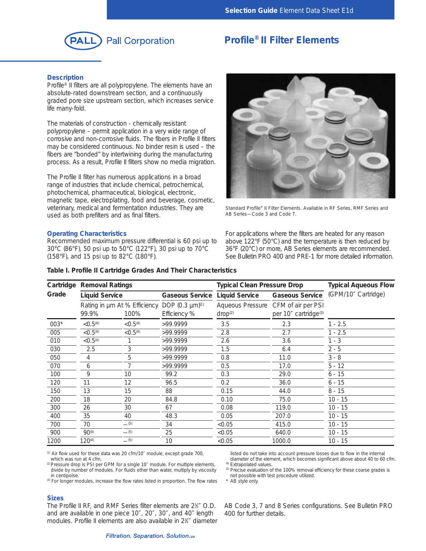

# **Profile® II Filter Elements**

# **Description**

Profile<sup>®</sup> II filters are all polypropylene. The elements have an absolute-rated downstream section, and a continuously graded pore size upstream section, which increases service life many-fold.

The materials of construction - chemically resistant polypropylene – permit application in a very wide range of corrosive and non-corrosive fluids. The fibers in Profile II filters may be considered continuous. No binder resin is used – the fibers are "bonded" by intertwining during the manufacturing process. As a result, Profile II filters show no media migration.

The Profile II filter has numerous applications in a broad range of industries that include chemical, petrochemical, photochemical, pharmaceutical, biological, electronic, magnetic tape, electroplating, food and beverage, cosmetic, veterinary, medical and fermentation industries. They are used as both prefilters and as final filters.

# **Operating Characteristics**

Recommended maximum pressure differential is 60 psi up to 30°C (86°F), 50 psi up to 50°C (122°F), 30 psi up to 70°C (158°F), and 15 psi up to 82°C (180°F).



*Standard Profile® II Filter Elements. Available in RF Series, RMF Series and AB Series—Code 3 and Code 7.*

For applications where the filters are heated for any reason above 122°F (50°C) and the temperature is then reduced by 36°F (20°C) or more, AB Series elements are recommended. See Bulletin PRO 400 and PRE-1 for more detailed information.

| Cartridge<br>Grade | Removal Ratings       |                                      |                                             | <b>Typical Clean Pressure Drop</b> | <b>Typical Aqueous Flow</b>                                             |                     |  |
|--------------------|-----------------------|--------------------------------------|---------------------------------------------|------------------------------------|-------------------------------------------------------------------------|---------------------|--|
|                    | <b>Liquid Service</b> |                                      | Gaseous Service                             | <b>Liquid Service</b>              | <b>Gaseous Service</b>                                                  | (GPM/10" Cartridge) |  |
|                    | 99.9%                 | Rating in µm At % Efficiency<br>100% | DOP (0.3 µm) <sup>(1)</sup><br>Efficiency % | drop <sup>(2)</sup>                | Aqueous Pressure CFM of air per PSI<br>per 10" cartridge <sup>(3)</sup> |                     |  |
| $003*$             | < 0.5 <sup>(4)</sup>  | < 0.5 <sup>(4)</sup>                 | >99.9999                                    | 3.5                                | 2.3                                                                     | $1 - 2.5$           |  |
| 005                | < 0.5 <sup>(4)</sup>  | < 0.5 <sup>(4)</sup>                 | >99.9999                                    | 2.8                                | 2.7                                                                     | $1 - 2.5$           |  |
| 010                | < 0.5 <sup>(4)</sup>  |                                      | >99.9999                                    | 2.6                                | 3.6                                                                     | $1 - 3$             |  |
| 030                | 2.5                   | 3                                    | >99.9999                                    | 1.5                                | 6.4                                                                     | $2 - 5$             |  |
| 050                | 4                     | 5                                    | >99.9999                                    | 0.8                                | 11.0                                                                    | $3 - 8$             |  |
| 070                | 6                     |                                      | >99.9999                                    | 0.5                                | 17.0                                                                    | $5 - 12$            |  |
| 100                | 9                     | 10                                   | 99.2                                        | 0.3                                | 29.0                                                                    | $6 - 15$            |  |
| 120                | 11                    | 12                                   | 96.5                                        | 0.2                                | 36.0                                                                    | $6 - 15$            |  |
| 150                | 13                    | 15                                   | 88                                          | 0.15                               | 44.0                                                                    | $8 - 15$            |  |
| 200                | 18                    | 20                                   | 84.8                                        | 0.10                               | 75.0                                                                    | $10 - 15$           |  |
| 300                | 26                    | 30                                   | 67                                          | 0.08                               | 119.0                                                                   | $10 - 15$           |  |
| 400                | 35                    | 40                                   | 48.3                                        | 0.05                               | 207.0                                                                   | $10 - 15$           |  |
| 700                | 70                    | $-$ (5)                              | 34                                          | < 0.05                             | 415.0                                                                   | $10 - 15$           |  |
| 900                | $90^{(4)}$            | $-$ (5)                              | 25                                          | < 0.05                             | 640.0                                                                   | $10 - 15$           |  |
| 1200               | $120^{(4)}$           | $-$ (5)                              | 10                                          | < 0.05                             | 1000.0                                                                  | $10 - 15$           |  |

**Table I. Profile II Cartridge Grades And Their Characteristics**

(1) *Air flow used for these data was 20 cfm/10*″ *module, except grade 700, which was run at 4 cfm.* 

(2) *Pressure drop is PSI per GPM for a single 10*″ *module. For multiple elements, divide by number of modules. For fluids other than water, multiply by viscosity in centipoise.*

*(3) For longer modules, increase the flow rates listed in proportion. The flow rates*

*listed do not take into account pressure losses due to flow in the internal diameter of the element, which becomes significant above about 40 to 60 cfm.*

*(4) Extrapolated values. (5) Precise evaluation of the 100% removal efficiency for these coarse grades is*

*not possible with test procedure utilized.*

*\* AB style only.*

#### **Sizes**

The Profile II RF, and RMF Series filter elements are 2<sup>1/</sup> O.D. and are available in one piece 10″, 20″, 30″, and 40″ length modules. Profile II elements are also available in 2<sup>3</sup>/4" diameter AB Code 3, 7 and 8 Series configurations. See Bulletin PRO 400 for further details.